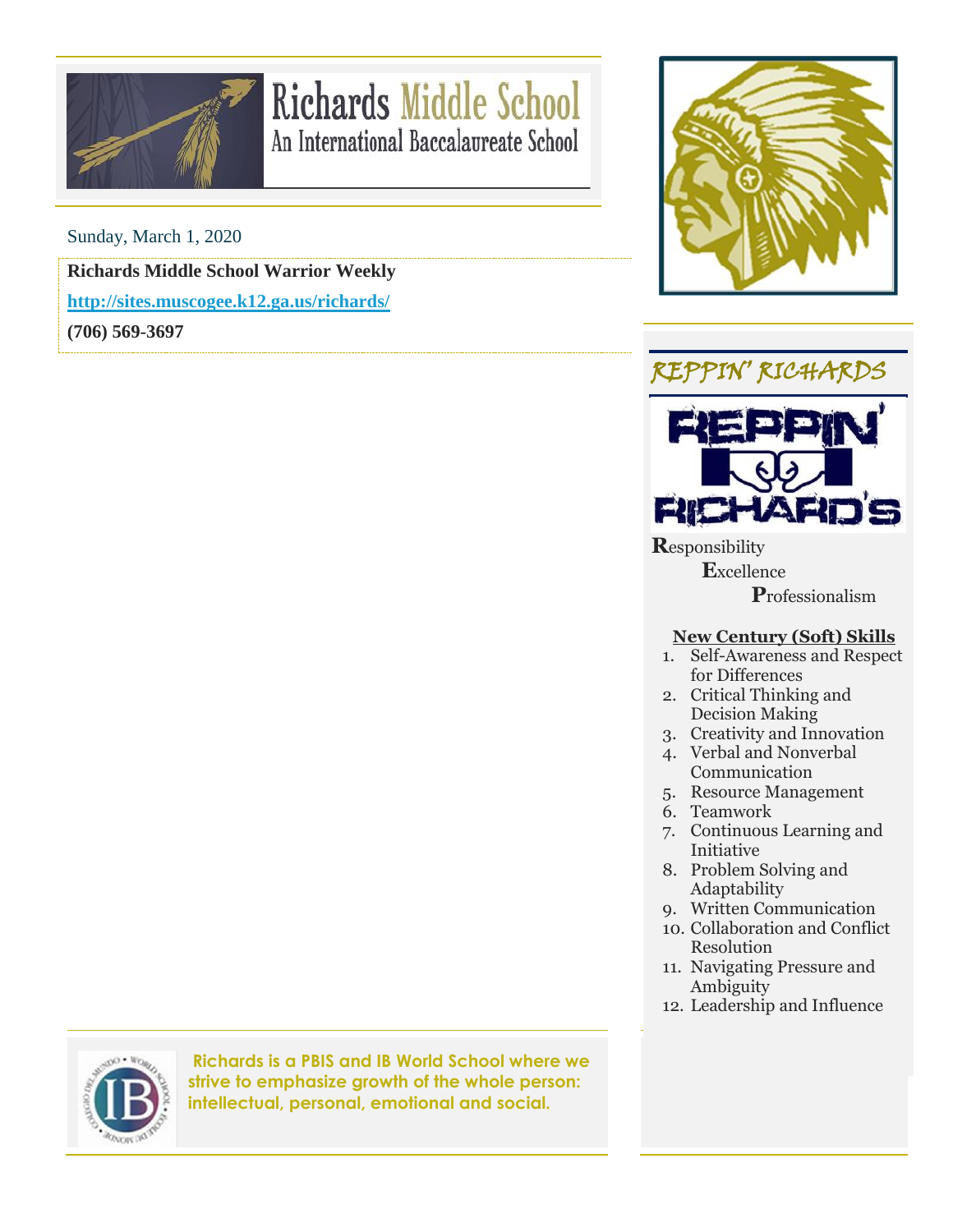

## **Richards Middle School** An International Baccalaureate School

Sunday, March 1, 2020

**Richards Middle School Warrior Weekly**

**<http://sites.muscogee.k12.ga.us/richards/>**

**(706) 569-3697**







**R**esponsibility  **E**xcellence

 **P**rofessionalism

## **New Century (Soft) Skills**

- 1. Self-Awareness and Respect for Differences
- 2. Critical Thinking and Decision Making
- 3. Creativity and Innovation
- 4. Verbal and Nonverbal Communication
- 5. Resource Management
- 6. Teamwork
- 7. Continuous Learning and Initiative
- 8. Problem Solving and Adaptability
- 9. Written Communication
- 10. Collaboration and Conflict Resolution
- 11. Navigating Pressure and Ambiguity
- 12. Leadership and Influence



**Richards is a PBIS and IB World School where we strive to emphasize growth of the whole person: intellectual, personal, emotional and social.**